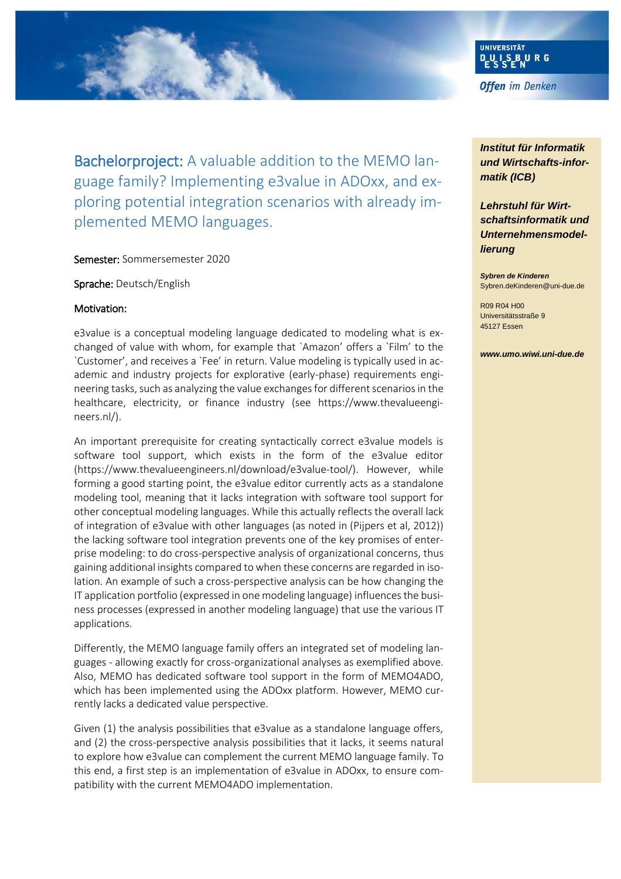Bachelorproject: A valuable addition to the MEMO language family? Implementing e3value in ADOxx, and exploring potential integration scenarios with already implemented MEMO languages.

#### Semester: Sommersemester 2020

Sprache: Deutsch/English

#### Motivation:

e3value is a conceptual modeling language dedicated to modeling what is exchanged of value with whom, for example that `Amazon' offers a `Film' to the `Customer', and receives a `Fee' in return. Value modeling is typically used in academic and industry projects for explorative (early-phase) requirements engineering tasks, such as analyzing the value exchanges for different scenarios in the healthcare, electricity, or finance industry (see https://www.thevalueengineers.nl/).

An important prerequisite for creating syntactically correct e3value models is software tool support, which exists in the form of the e3value editor (https://www.thevalueengineers.nl/download/e3value-tool/). However, while forming a good starting point, the e3value editor currently acts as a standalone modeling tool, meaning that it lacks integration with software tool support for other conceptual modeling languages. While this actually reflects the overall lack of integration of e3value with other languages (as noted in (Pijpers et al, 2012)) the lacking software tool integration prevents one of the key promises of enterprise modeling: to do cross-perspective analysis of organizational concerns, thus gaining additional insights compared to when these concerns are regarded in isolation. An example of such a cross-perspective analysis can be how changing the IT application portfolio (expressed in one modeling language) influences the business processes (expressed in another modeling language) that use the various IT applications.

Differently, the MEMO language family offers an integrated set of modeling languages - allowing exactly for cross-organizational analyses as exemplified above. Also, MEMO has dedicated software tool support in the form of MEMO4ADO, which has been implemented using the ADOxx platform. However, MEMO currently lacks a dedicated value perspective.

Given (1) the analysis possibilities that e3value as a standalone language offers, and (2) the cross-perspective analysis possibilities that it lacks, it seems natural to explore how e3value can complement the current MEMO language family. To this end, a first step is an implementation of e3value in ADOxx, to ensure compatibility with the current MEMO4ADO implementation.

**Offen** im Denken

UNIVERSITÄT

*Institut für Informatik und Wirtschafts-informatik (ICB)*

*Lehrstuhl für Wirtschaftsinformatik und Unternehmensmodellierung*

*Sybren de Kinderen* Sybren.deKinderen@uni-due.de

R09 R04 H00 Universitätsstraße 9 45127 Essen

*www.umo.wiwi.uni-due.de*